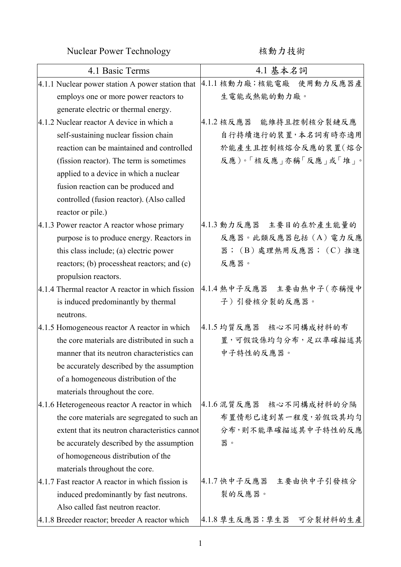Nuclear Power Technology kind to the 核動力技術

| 4.1 Basic Terms                                  | 4.1 基本名詞                  |
|--------------------------------------------------|---------------------------|
| 4.1.1 Nuclear power station A power station that | 4.1.1 核動力廠;核能電廠 使用動力反應器產  |
| employs one or more power reactors to            | 生電能或熱能的動力廠。               |
| generate electric or thermal energy.             |                           |
| 4.1.2 Nuclear reactor A device in which a        | 4.1.2 核反應器 能維持且控制核分裂鏈反應   |
| self-sustaining nuclear fission chain            | 自行持續進行的裝置,本名詞有時亦適用        |
| reaction can be maintained and controlled        | 於能產生且控制核熔合反應的裝置(熔合        |
| (fission reactor). The term is sometimes         | 反應)。「核反應」亦稱「反應」或「堆」。      |
| applied to a device in which a nuclear           |                           |
| fusion reaction can be produced and              |                           |
| controlled (fusion reactor). (Also called        |                           |
| reactor or pile.)                                |                           |
| 4.1.3 Power reactor A reactor whose primary      | 4.1.3 動力反應器 主要目的在於產生能量的   |
| purpose is to produce energy. Reactors in        | 反應器。此類反應器包括(A)電力反應        |
| this class include; (a) electric power           | 器; (B)處理熱用反應器; (C)推進      |
| reactors; (b) processheat reactors; and (c)      | 反應器。                      |
| propulsion reactors.                             |                           |
| 4.1.4 Thermal reactor A reactor in which fission | 4.1.4 熱中子反應器 主要由熱中子 (亦稱慢中 |
| is induced predominantly by thermal              | 子)引發核分裂的反應器。              |
| neutrons.                                        |                           |
| 4.1.5 Homogeneous reactor A reactor in which     | 4.1.5 均質反應器 核心不同構成材料的布    |
| the core materials are distributed in such a     | 置,可假設係均勻分布,足以準確描述其        |
| manner that its neutron characteristics can      | 中子特性的反應器。                 |
| be accurately described by the assumption        |                           |
| of a homogeneous distribution of the             |                           |
| materials throughout the core.                   |                           |
| 4.1.6 Heterogeneous reactor A reactor in which   | 4.1.6 混質反應器 核心不同構成材料的分隔   |
| the core materials are segregated to such an     | 布置情形已達到某一程度,若假設其均勻        |
| extent that its neutron characteristics cannot   | 分布,則不能準確描述其中子特性的反應        |
| be accurately described by the assumption        | 器。                        |
| of homogeneous distribution of the               |                           |
| materials throughout the core.                   |                           |
| 4.1.7 Fast reactor A reactor in which fission is | 4.1.7 快中子反應器 主要由快中子引發核分   |
| induced predominantly by fast neutrons.          | 裂的反應器。                    |
| Also called fast neutron reactor.                |                           |
| 4.1.8 Breeder reactor; breeder A reactor which   | 4.1.8 孳生反應器;孳生器 可分裂材料的生產  |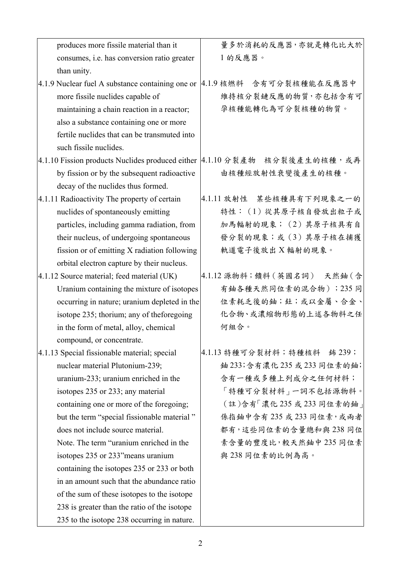| produces more fissile material than it           | 量多於消耗的反應器,亦就是轉化比大於            |
|--------------------------------------------------|-------------------------------|
| consumes, i.e. has conversion ratio greater      | 1的反應器。                        |
| than unity.                                      |                               |
| 4.1.9 Nuclear fuel A substance containing one or | 4.1.9 核燃料 含有可分裂核種能在反應器中       |
| more fissile nuclides capable of                 | 維持核分裂鏈反應的物質,亦包括含有可            |
| maintaining a chain reaction in a reactor;       | 孕核種能轉化為可分裂核種的物質。              |
| also a substance containing one or more          |                               |
| fertile nuclides that can be transmuted into     |                               |
| such fissile nuclides.                           |                               |
| 4.1.10 Fission products Nuclides produced either | 4.1.10分裂產物 核分裂後產生的核種,或再       |
| by fission or by the subsequent radioactive      | 由核種經放射性衰變後產生的核種。              |
| decay of the nuclides thus formed.               |                               |
| 4.1.11 Radioactivity The property of certain     | 4.1.11 放射性 某些核種具有下列現象之一的      |
| nuclides of spontaneously emitting               | 特性: (1) 從其原子核自發放出粒子或          |
| particles, including gamma radiation, from       | 加馬輻射的現象; (2)其原子核具有自           |
| their nucleus, of undergoing spontaneous         | 發分裂的現象;或(3)其原子核在捕獲            |
| fission or of emitting X radiation following     | 軌道電子後放出 X 輻射的現象。              |
| orbital electron capture by their nucleus.       |                               |
| 4.1.12 Source material; feed material (UK)       | 4.1.12 源物料; 饋料 (英國名詞) 天然鈾 (含  |
| Uranium containing the mixture of isotopes       | 有鈾各種天然同位素的混合物);235同           |
| occurring in nature; uranium depleted in the     | 位素耗乏後的鈾;釷;或以金屬、合金、            |
| isotope 235; thorium; any of theforegoing        | 化合物、或濃縮物形態的上述各物料之任            |
| in the form of metal, alloy, chemical            | 何組合。                          |
| compound, or concentrate.                        |                               |
| 4.1.13 Special fissionable material; special     | 4.1.13 特種可分裂材料;特種核料<br>鈽 239; |
| nuclear material Plutonium-239;                  | 鈾 233;含有濃化 235 或 233 同位素的鈾;   |
| uranium-233; uranium enriched in the             | 含有一種或多種上列成分之任何材料;             |
| isotopes 235 or 233; any material                | 「特種可分裂材料」一詞不包括源物料。            |
| containing one or more of the foregoing;         | (註)含有「濃化235 或233 同位素的鈾」       |
| but the term "special fissionable material"      | 係指鈾中含有 235 或 233 同位素,或兩者      |
| does not include source material.                | 都有,這些同位素的含量總和與 238 同位         |
| Note. The term "uranium enriched in the          | 素含量的豐度比,較天然鈾中235同位素           |
| isotopes 235 or 233" means uranium               | 與238同位素的比例為高。                 |
| containing the isotopes 235 or 233 or both       |                               |
| in an amount such that the abundance ratio       |                               |
| of the sum of these isotopes to the isotope      |                               |
| 238 is greater than the ratio of the isotope     |                               |
| 235 to the isotope 238 occurring in nature.      |                               |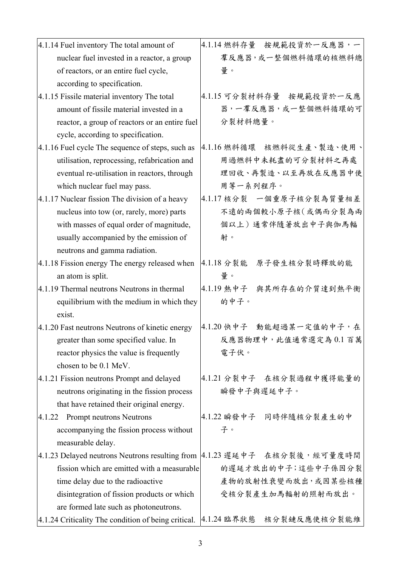| 4.1.14 Fuel inventory The total amount of           | 4.1.14 燃料存量 按規範投資於一反應器,一                                                   |
|-----------------------------------------------------|----------------------------------------------------------------------------|
| nuclear fuel invested in a reactor, a group         | 羣反應器,或一整個燃料循環的核燃料總                                                         |
| of reactors, or an entire fuel cycle,               | 量。                                                                         |
| according to specification.                         |                                                                            |
| 4.1.15 Fissile material inventory The total         | 4.1.15 可分裂材料存量 按規範投資於一反應                                                   |
| amount of fissile material invested in a            | 器,一羣反應器,或一整個燃料循環的可                                                         |
| reactor, a group of reactors or an entire fuel      | 分裂材料總量。                                                                    |
| cycle, according to specification.                  |                                                                            |
| 4.1.16 Fuel cycle The sequence of steps, such as    | 4.1.16燃料循環 核燃料從生產、製造、使用、                                                   |
| utilisation, reprocessing, refabrication and        | 用過燃料中未耗盡的可分裂材料之再處                                                          |
| eventual re-utilisation in reactors, through        | 理回收、再製造、以至再放在反應器中使                                                         |
| which nuclear fuel may pass.                        | 用等一系列程序。                                                                   |
| 4.1.17 Nuclear fission The division of a heavy      | 4.1.17 核分裂 一個重原子核分裂為質量相差                                                   |
| nucleus into tow (or, rarely, more) parts           | 不遠的兩個較小原子核(或偶而分裂為兩                                                         |
| with masses of equal order of magnitude,            | 個以上)通常伴隨著放出中子與伽馬輻                                                          |
| usually accompanied by the emission of              | 射。                                                                         |
| neutrons and gamma radiation.                       |                                                                            |
| 4.1.18 Fission energy The energy released when      | 4.1.18 分裂能<br>原子發生核分裂時釋放的能                                                 |
| an atom is split.                                   | 量。                                                                         |
| 4.1.19 Thermal neutrons Neutrons in thermal         | 4.1.19 熱中子 與其所存在的介質達到熱平衡                                                   |
| equilibrium with the medium in which they           | 的中子。                                                                       |
| exist.                                              |                                                                            |
| 4.1.20 Fast neutrons Neutrons of kinetic energy     | 4.1.20 快中子 動能超過某一定值的中子,在                                                   |
| greater than some specified value. In               | 反應器物理中,此值通常選定為0.1百萬                                                        |
| reactor physics the value is frequently             | 電子伏。                                                                       |
| chosen to be 0.1 MeV.                               |                                                                            |
| 4.1.21 Fission neutrons Prompt and delayed          | 4.1.21 分裂中子 在核分裂過程中獲得能量的                                                   |
| neutrons originating in the fission process         | 瞬發中子與遲延中子。                                                                 |
| that have retained their original energy.           |                                                                            |
| Prompt neutrons Neutrons<br>4.1.22                  | 4.1.22 瞬發中子 同時伴隨核分裂產生的中                                                    |
| accompanying the fission process without            | 子。                                                                         |
| measurable delay.                                   |                                                                            |
|                                                     | 4.1.23 Delayed neutrons Neutrons resulting from  4.1.23 遲延中子 在核分裂後, 經可量度時間 |
| fission which are emitted with a measurable         | 的遲延才放出的中子;這些中子係因分裂                                                         |
| time delay due to the radioactive                   | 產物的放射性衰變而放出,或因某些核種                                                         |
| disintegration of fission products or which         | 受核分裂產生加馬輻射的照射而放出。                                                          |
| are formed late such as photoneutrons.              |                                                                            |
| 4.1.24 Criticality The condition of being critical. | 4.1.24 臨界狀態<br>核分裂鏈反應使核分裂能維                                                |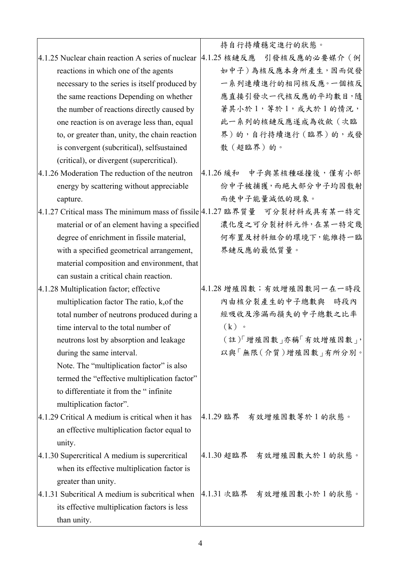|                                                   | 持自行持續穩定進行的狀態。                                                             |
|---------------------------------------------------|---------------------------------------------------------------------------|
| 4.1.25 Nuclear chain reaction A series of nuclear | 4.1.25 核鏈反應 引發核反應的必要媒介 (例                                                 |
| reactions in which one of the agents              | 如中子)為核反應本身所產生,因而促發                                                        |
| necessary to the series is itself produced by     | 一系列連續進行的相同核反應。一個核反                                                        |
| the same reactions Depending on whether           | 應直接引發次一代核反應的平均數目,隨                                                        |
| the number of reactions directly caused by        | 著其小於1, 等於1, 或大於1的情況,                                                      |
| one reaction is on average less than, equal       | 此一系列的核鏈反應遂成為收歛(次臨                                                         |
| to, or greater than, unity, the chain reaction    | 界)的,自行持續進行(臨界)的,或發                                                        |
| is convergent (subcritical), selfsustained        | 散(超臨界)的。                                                                  |
| (critical), or divergent (supercritical).         |                                                                           |
| 4.1.26 Moderation The reduction of the neutron    | 4.1.26 緩和 中子與某核種碰撞後,僅有小部                                                  |
| energy by scattering without appreciable          | 份中子被捕獲,而絕大部分中子均因散射                                                        |
| capture.                                          | 而使中子能量減低的現象。                                                              |
|                                                   | 4.1.27 Critical mass The minimum mass of fissile 4.1.27 臨界質量 可分裂材料或具有某一特定 |
| material or of an element having a specified      | 濃化度之可分裂材料元件,在某一特定幾                                                        |
| degree of enrichment in fissile material,         | 何布置及材料組合的環境下,能維持一臨                                                        |
| with a specified geometrical arrangement,         | 界鏈反應的最低質量。                                                                |
| material composition and environment, that        |                                                                           |
| can sustain a critical chain reaction.            |                                                                           |
| 4.1.28 Multiplication factor; effective           | 4.1.28 增殖因數;有效增殖因數同一在一時段                                                  |
| multiplication factor The ratio, k, of the        | 內由核分裂產生的中子總數與<br>時段內                                                      |
| total number of neutrons produced during a        | 經吸收及滲漏而損失的中子總數之比率                                                         |
| time interval to the total number of              | $(k)$ .                                                                   |
| neutrons lost by absorption and leakage           | (註)「增殖因數」亦稱「有效增殖因數」,                                                      |
| during the same interval.                         | 以與「無限(介質)增殖因數 南所分別。                                                       |
| Note. The "multiplication factor" is also         |                                                                           |
| termed the "effective multiplication factor"      |                                                                           |
| to differentiate it from the "infinite            |                                                                           |
| multiplication factor".                           |                                                                           |
| 4.1.29 Critical A medium is critical when it has  | 4.1.29 臨界 有效增殖因數等於1 的狀態。                                                  |
| an effective multiplication factor equal to       |                                                                           |
| unity.                                            |                                                                           |
| 4.1.30 Supercritical A medium is supercritical    | 4.1.30 超臨界 有效增殖因數大於1的狀態。                                                  |
| when its effective multiplication factor is       |                                                                           |
| greater than unity.                               |                                                                           |
| 4.1.31 Subcritical A medium is subcritical when   | 4.1.31 次臨界 有效增殖因數小於1的狀態。                                                  |
| its effective multiplication factors is less      |                                                                           |
| than unity.                                       |                                                                           |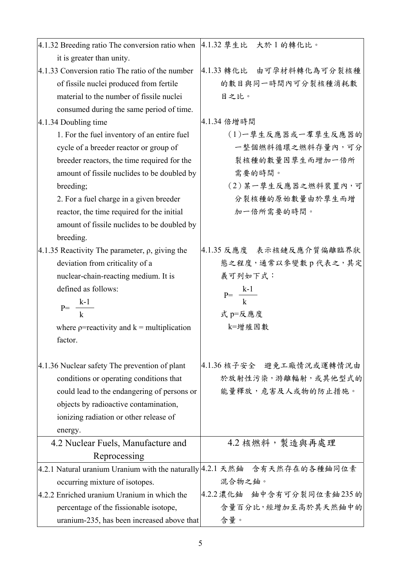| 4.1.32 Breeding ratio The conversion ratio when  4.1.32 孳生比 大於 1 的轉化比。   |                            |
|--------------------------------------------------------------------------|----------------------------|
| it is greater than unity.                                                |                            |
| 4.1.33 Conversion ratio The ratio of the number                          | 4.1.33 轉化比 由可孕材料轉化為可分裂核種   |
| of fissile nuclei produced from fertile                                  | 的數目與同一時間內可分裂核種消耗數          |
| material to the number of fissile nuclei                                 | 目之比。                       |
| consumed during the same period of time.                                 |                            |
| $ 4.1.34$ Doubling time                                                  | 4.1.34 倍增時間                |
| 1. For the fuel inventory of an entire fuel                              | (1)一孳生反應器或一羣孳生反應器的         |
| cycle of a breeder reactor or group of                                   | 一整個燃料循環之燃料存量內,可分           |
| breeder reactors, the time required for the                              | 裂核種的數量因孳生而增加一倍所            |
| amount of fissile nuclides to be doubled by                              | 需要的時間。                     |
| breeding;                                                                | (2)某一孳生反應器之燃料裝置內,可         |
| 2. For a fuel charge in a given breeder                                  | 分裂核種的原始數量由於孳生而增            |
| reactor, the time required for the initial                               | 加一倍所需要的時間。                 |
| amount of fissile nuclides to be doubled by                              |                            |
| breeding.                                                                |                            |
| 4.1.35 Reactivity The parameter, $\rho$ , giving the                     | 4.1.35 反應度 表示核鏈反應介質偏離臨界狀   |
| deviation from criticality of a                                          | 態之程度, 通常以參變數 p 代表之, 其定     |
| nuclear-chain-reacting medium. It is                                     | 義可列如下式:                    |
| defined as follows:                                                      | $P = \frac{k-1}{k}$        |
| $P = \frac{k-1}{k}$                                                      |                            |
|                                                                          | 式 p=反應度                    |
| where $p$ =reactivity and $k$ = multiplication                           | k=增殖因數                     |
| factor.                                                                  |                            |
|                                                                          |                            |
| 4.1.36 Nuclear safety The prevention of plant                            | 4.1.36 核子安全 避免工廠情況或運轉情況由   |
| conditions or operating conditions that                                  | 於放射性污染,游離輻射,或其他型式的         |
| could lead to the endangering of persons or                              | 能量釋放,危害及人或物的防止措施。          |
| objects by radioactive contamination,                                    |                            |
| ionizing radiation or other release of                                   |                            |
| energy.                                                                  |                            |
| 4.2 Nuclear Fuels, Manufacture and                                       | 4.2 核燃料,製造與再處理             |
| Reprocessing                                                             |                            |
| 4.2.1 Natural uranium Uranium with the naturally 4.2.1 天然鈾 含有天然存在的各種鈾同位素 |                            |
| occurring mixture of isotopes.                                           | 混合物之鈾。                     |
| 4.2.2 Enriched uranium Uranium in which the                              | 4.2.2 濃化鈾 鈾中含有可分裂同位素鈾235 的 |
| percentage of the fissionable isotope,                                   | 含量百分比,經增加至高於其天然鈾中的         |
| uranium-235, has been increased above that                               | 含量。                        |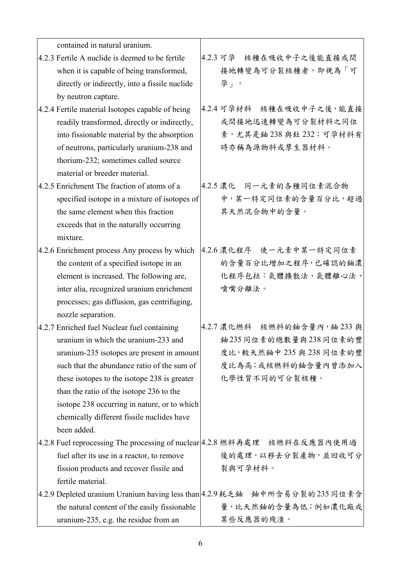| contained in natural uranium.                                               |                              |
|-----------------------------------------------------------------------------|------------------------------|
| 4.2.3 Fertile A nuclide is deemed to be fertile                             | 4.2.3 可孕<br>核種在吸收中子之後能直接或間   |
| when it is capable of being transformed,                                    | 接地轉變為可分裂核種者,即視為「可            |
| directly or indirectly, into a fissile nuclide                              | 孕」。                          |
| by neutron capture.                                                         |                              |
| 4.2.4 Fertile material Isotopes capable of being                            | 4.2.4 可孕材料 核種在吸收中子之後,能直接     |
| readily transformed, directly or indirectly,                                | 或間接地迅速轉變為可分裂材料之同位            |
| into fissionable material by the absorption                                 | 素,尤其是鈾238與釷232;可孕材料有         |
| of neutrons, particularly uranium-238 and                                   | 時亦稱為源物料或孳生器材料。               |
| thorium-232; sometimes called source                                        |                              |
| material or breeder material.                                               |                              |
| 4.2.5 Enrichment The fraction of atoms of a                                 | 4.2.5 濃化 同一元素的各種同位素混合物       |
| specified isotope in a mixture of isotopes of                               | 中,某一特定同位素的含量百分比,超過           |
| the same element when this fraction                                         | 其天然混合物中的含量。                  |
| exceeds that in the naturally occurring                                     |                              |
| mixture.                                                                    |                              |
| 4.2.6 Enrichment process Any process by which                               | 4.2.6 濃化程序 使一元素中某一特定同位素      |
| the content of a specified isotope in an                                    | 的含量百分比增加之程序,已確認的鈾濃           |
| element is increased. The following are,                                    | 化程序包括:氣體擴散法、氣體離心法、           |
| inter alia, recognized uranium enrichment                                   | 噴嘴分離法。                       |
| processes; gas diffusion, gas centrifuging,                                 |                              |
| nozzle separation.                                                          |                              |
| 4.2.7 Enriched fuel Nuclear fuel containing                                 | 4.2.7 濃化燃料 核燃料的鈾含量內, 鈾 233 與 |
| uranium in which the uranium-233 and                                        | 鈾235同位素的總數量與238同位素的豐         |
| uranium-235 isotopes are present in amount                                  | 度比,較天然鈾中 235與 238同位素的豐       |
| such that the abundance ratio of the sum of                                 | 度比為高;或核燃料的鈾含量內曾添加入           |
| these isotopes to the isotope 238 is greater                                | 化學性質不同的可分裂核種。                |
| than the ratio of the isotope 236 to the                                    |                              |
| isotope 238 occurring in nature, or to which                                |                              |
| chemically different fissile nuclides have                                  |                              |
| been added.                                                                 |                              |
| 4.2.8 Fuel reprocessing The processing of nuclear 4.2.8 燃料再處理 核燃料在反應器內使用過   |                              |
| fuel after its use in a reactor, to remove                                  | 後的處理,以移去分裂產物,並回收可分           |
| fission products and recover fissile and                                    | 裂與可孕材料。                      |
| fertile material.                                                           |                              |
| 4.2.9 Depleted uranium Uranium having less than 4.2.9 耗乏鈾 鈾中所含易分裂的 235 同位素含 |                              |
| the natural content of the easily fissionable                               | 量,比天然鈾的含量為低;例如濃化廠或           |
| uranium-235, e.g. the residue from an                                       | 某些反應器的殘渣。                    |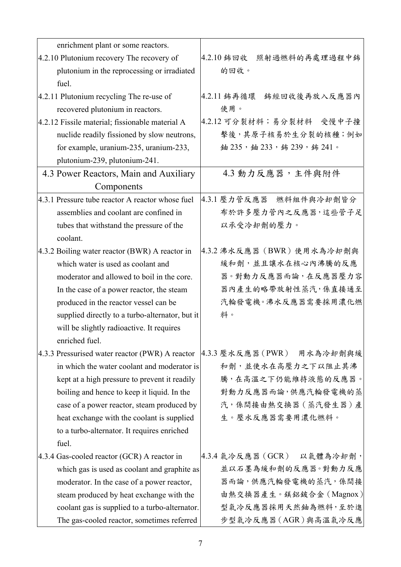| enrichment plant or some reactors.                   |                             |
|------------------------------------------------------|-----------------------------|
| 4.2.10 Plutonium recovery The recovery of            | 4.2.10 鈽回收<br>照射過燃料的再處理過程中鈽 |
| plutonium in the reprocessing or irradiated<br>fuel. | 的回收。                        |
| 4.2.11 Plutonium recycling The re-use of             | 4.2.11 鈽再循環<br>鈽經回收後再放入反應器內 |
| recovered plutonium in reactors.                     | 使用。                         |
| 4.2.12 Fissile material; fissionable material A      | 4.2.12 可分裂材料;易分裂材料 受慢中子撞    |
| nuclide readily fissioned by slow neutrons,          | 擊後,其原子核易於生分裂的核種;例如          |
| for example, uranium-235, uranium-233,               | 鈾 235, 鈾 233, 鈽 239, 鈽 241。 |
| plutonium-239, plutonium-241.                        |                             |
| 4.3 Power Reactors, Main and Auxiliary               | 4.3 動力反應器,主件與附件             |
| Components                                           |                             |
| 4.3.1 Pressure tube reactor A reactor whose fuel     | 4.3.1 壓力管反應器 燃料组件與冷却劑皆分     |
| assemblies and coolant are confined in               | 布於許多壓力管內之反應器,這些管子足          |
| tubes that withstand the pressure of the             | 以承受冷却劑的壓力。                  |
| coolant.                                             |                             |
| 4.3.2 Boiling water reactor (BWR) A reactor in       | 4.3.2 沸水反應器 (BWR) 使用水為冷却劑與  |
| which water is used as coolant and                   | 緩和劑,並且讓水在核心內沸騰的反應           |
| moderator and allowed to boil in the core.           | 器。對動力反應器而論, 在反應器壓力容         |
| In the case of a power reactor, the steam            | 器內產生的略帶放射性蒸汽,係直接通至          |
| produced in the reactor vessel can be                | 汽輪發電機。沸水反應器需要採用濃化燃          |
| supplied directly to a turbo-alternator, but it      | 料。                          |
| will be slightly radioactive. It requires            |                             |
| enriched fuel.                                       |                             |
| 4.3.3 Pressurised water reactor (PWR) A reactor      | 4.3.3 壓水反應器 (PWR) 用水為冷却劑與緩  |
| in which the water coolant and moderator is          | 和劑,並使水在高壓力之下以阻止其沸           |
| kept at a high pressure to prevent it readily        | 騰,在高溫之下仍能維持液態的反應器。          |
| boiling and hence to keep it liquid. In the          | 對動力反應器而論,供應汽輪發電機的蒸          |
| case of a power reactor, steam produced by           | 汽,係間接由熱交換器(蒸汽發生器)產          |
| heat exchange with the coolant is supplied           | 生。壓水反應器需要用濃化燃料。             |
| to a turbo-alternator. It requires enriched          |                             |
| fuel.                                                |                             |
| 4.3.4 Gas-cooled reactor (GCR) A reactor in          | 4.3.4 氣冷反應器 (GCR) 以氣體為冷却劑,  |
| which gas is used as coolant and graphite as         | 並以石墨為緩和劑的反應器。對動力反應          |
| moderator. In the case of a power reactor,           | 器而論,供應汽輪發電機的蒸汽,係間接          |
| steam produced by heat exchange with the             | 由熱交換器產生。鎂鋁鈹合金 (Magnox)      |
| coolant gas is supplied to a turbo-alternator.       | 型氣冷反應器採用天然鈾為燃料,至於進          |
| The gas-cooled reactor, sometimes referred           | 步型氣冷反應器(AGR)與高溫氣冷反應         |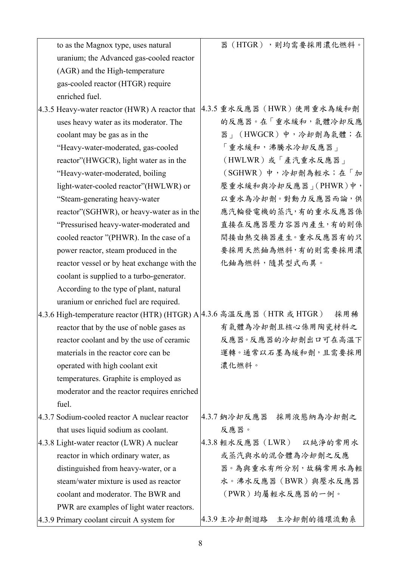| to as the Magnox type, uses natural                                    | 器(HTGR),則均需要採用濃化燃料。          |
|------------------------------------------------------------------------|------------------------------|
| uranium; the Advanced gas-cooled reactor                               |                              |
| (AGR) and the High-temperature                                         |                              |
| gas-cooled reactor (HTGR) require                                      |                              |
| enriched fuel.                                                         |                              |
| 4.3.5 Heavy-water reactor (HWR) A reactor that                         | 4.3.5 重水反應器 (HWR) 使用重水為緩和劑   |
| uses heavy water as its moderator. The                                 | 的反應器。在「重水緩和,氣體冷却反應           |
| coolant may be gas as in the                                           | 器」(HWGCR)中,冷却劑為氣體;在          |
| "Heavy-water-moderated, gas-cooled                                     | 「重水緩和,沸騰水冷却反應器」              |
| reactor"(HWGCR), light water as in the                                 | (HWLWR)或「產汽重水反應器」            |
| "Heavy-water-moderated, boiling                                        | (SGHWR)中,冷却劑為輕水;在「加          |
| light-water-cooled reactor"(HWLWR) or                                  | 壓重水緩和與冷却反應器」(PHWR)中,         |
| "Steam-generating heavy-water                                          | 以重水為冷却劑。對動力反應器而論,供           |
| reactor"(SGHWR), or heavy-water as in the                              | 應汽輪發電機的蒸汽,有的重水反應器係           |
| "Pressurised heavy-water-moderated and                                 | 直接在反應器壓力容器內產生,有的則係           |
| cooled reactor "(PHWR). In the case of a                               | 間接由熱交換器產生。重水反應器有的只           |
| power reactor, steam produced in the                                   | 要採用天然鈾為燃料,有的則需要採用濃           |
| reactor vessel or by heat exchange with the                            | 化鈾為燃料,隨其型式而異。                |
| coolant is supplied to a turbo-generator.                              |                              |
| According to the type of plant, natural                                |                              |
| uranium or enriched fuel are required.                                 |                              |
| 4.3.6 High-temperature reactor (HTR) (HTGR) A 4.3.6 高溫反應器 (HTR 或 HTGR) | 採用稀                          |
| reactor that by the use of noble gases as                              | 有氣體為冷却劑且核心係用陶瓷材料之            |
| reactor coolant and by the use of ceramic                              | 反應器。反應器的冷却劑出口可在高溫下           |
| materials in the reactor core can be                                   | 運轉。通常以石墨為緩和劑,且需要採用           |
| operated with high coolant exit                                        | 濃化燃料。                        |
| temperatures. Graphite is employed as                                  |                              |
| moderator and the reactor requires enriched                            |                              |
| fuel.                                                                  |                              |
| 4.3.7 Sodium-cooled reactor A nuclear reactor                          | 4.3.7 鈉冷却反應器 採用液態納為冷却劑之      |
| that uses liquid sodium as coolant.                                    | 反應器。                         |
| 4.3.8 Light-water reactor (LWR) A nuclear                              | 4.3.8 輕水反應器 (LWR)<br>以純淨的常用水 |
| reactor in which ordinary water, as                                    | 或蒸汽與水的混合體為冷却劑之反應             |
| distinguished from heavy-water, or a                                   | 器。為與重水有所分別,故稱常用水為輕           |
| steam/water mixture is used as reactor                                 | 水。沸水反應器(BWR)與壓水反應器           |
| coolant and moderator. The BWR and                                     | (PWR)均屬輕水反應器的一例。             |
| PWR are examples of light water reactors.                              |                              |
| 4.3.9 Primary coolant circuit A system for                             | 4.3.9 主冷却劑迴路 主冷却劑的循環流動系      |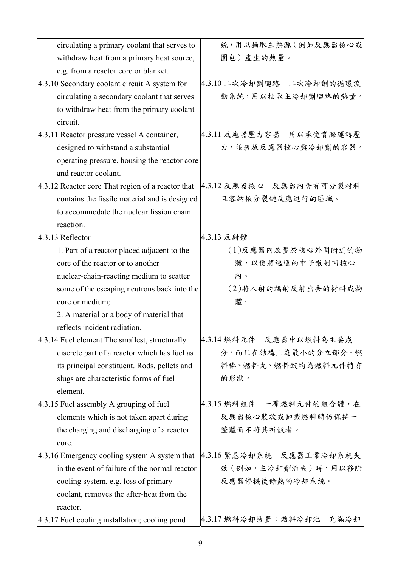| circulating a primary coolant that serves to      | 統,用以抽取主熱源(例如反應器核心或          |
|---------------------------------------------------|-----------------------------|
| withdraw heat from a primary heat source,         | 圍包)產生的熱量。                   |
| e.g. from a reactor core or blanket.              |                             |
| 4.3.10 Secondary coolant circuit A system for     | 4.3.10 二次冷却劑迴路 二次冷却劑的循環流    |
| circulating a secondary coolant that serves       | 動系統,用以抽取主冷却劑迴路的熱量。          |
| to withdraw heat from the primary coolant         |                             |
| circuit.                                          |                             |
| 4.3.11 Reactor pressure vessel A container,       | 4.3.11 反應器壓力容器 用以承受實際運轉壓    |
| designed to withstand a substantial               | 力,並裝放反應器核心與冷却劑的容器。          |
| operating pressure, housing the reactor core      |                             |
| and reactor coolant.                              |                             |
| 4.3.12 Reactor core That region of a reactor that | 4.3.12 反應器核心 反應器內含有可分裂材料    |
| contains the fissile material and is designed     | 且容納核分裂鏈反應進行的區域。             |
| to accommodate the nuclear fission chain          |                             |
| reaction.                                         |                             |
| 4.3.13 Reflector                                  | 4.3.13 反射體                  |
| 1. Part of a reactor placed adjacent to the       | (1)反應器內放置於核心外圍附近的物          |
| core of the reactor or to another                 | 體,以便將逃逸的中子散射回核心             |
| nuclear-chain-reacting medium to scatter          | 内。                          |
| some of the escaping neutrons back into the       | (2)將入射的輻射反射出去的材料或物          |
| core or medium;                                   | 體。                          |
| 2. A material or a body of material that          |                             |
| reflects incident radiation.                      |                             |
| 4.3.14 Fuel element The smallest, structurally    | 4.3.14 燃料元件 反應器中以燃料為主要成     |
| discrete part of a reactor which has fuel as      | 分,而且在結構上為最小的分立部分。燃          |
| its principal constituent. Rods, pellets and      | 料棒、燃料丸、燃料錠均為燃料元件特有          |
| slugs are characteristic forms of fuel            | 的形狀。                        |
| element.                                          |                             |
| 4.3.15 Fuel assembly A grouping of fuel           | 4.3.15 燃料組件 一羣燃料元件的組合體,在    |
| elements which is not taken apart during          | 反應器核心裝放或卸載燃料時仍保持一           |
| the charging and discharging of a reactor         | 整體而不將其折散者。                  |
| core.                                             |                             |
| 4.3.16 Emergency cooling system A system that     | 4.3.16 緊急冷却系統 反應器正常冷却系統失    |
| in the event of failure of the normal reactor     | 效 (例如,主冷却劑流失)時,用以移除         |
| cooling system, e.g. loss of primary              | 反應器停機後餘熱的冷却系統。              |
| coolant, removes the after-heat from the          |                             |
| reactor.                                          |                             |
| 4.3.17 Fuel cooling installation; cooling pond    | 4.3.17 燃料冷却裝置;燃料冷却池<br>充滿冷却 |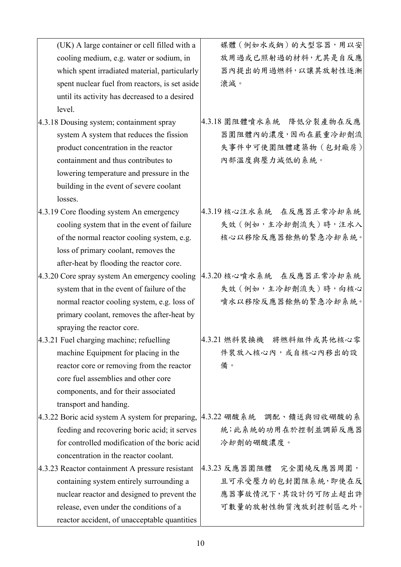| (UK) A large container or cell filled with a   | 媒體(例如水或鈉)的大型容器,用以安       |
|------------------------------------------------|--------------------------|
| cooling medium, e.g. water or sodium, in       | 放用過或已照射過的材料,尤其是自反應       |
| which spent irradiated material, particularly  | 器內提出的用過燃料,以讓其放射性逐漸       |
| spent nuclear fuel from reactors, is set aside | 滾減。                      |
| until its activity has decreased to a desired  |                          |
| level.                                         |                          |
| 4.3.18 Dousing system; containment spray       | 4.3.18 圍阻體噴水系統 降低分裂產物在反應 |
| system A system that reduces the fission       | 器圍阻體內的濃度,因而在嚴重冷却劑流       |
| product concentration in the reactor           | 失事件中可使圍阻體建築物 (包封廠房)      |
| containment and thus contributes to            | 內部溫度與壓力減低的系統。            |
| lowering temperature and pressure in the       |                          |
| building in the event of severe coolant        |                          |
| losses.                                        |                          |
| 4.3.19 Core flooding system An emergency       | 4.3.19 核心注水系統 在反應器正常冷却系統 |
| cooling system that in the event of failure    | 失效 (例如,主冷却劑流失)時,注水入      |
| of the normal reactor cooling system, e.g.     | 核心以移除反應器餘熱的緊急冷却系統。       |
| loss of primary coolant, removes the           |                          |
| after-heat by flooding the reactor core.       |                          |
| 4.3.20 Core spray system An emergency cooling  | 4.3.20 核心噴水系統 在反應器正常冷却系統 |
| system that in the event of failure of the     | 失效 (例如,主冷却劑流失)時,向核心      |
| normal reactor cooling system, e.g. loss of    | 噴水以移除反應器餘熱的緊急冷却系統。       |

primary coolant, removes the after-heat by

machine Equipment for placing in the

core fuel assemblies and other core

components, and for their associated

concentration in the reactor coolant. 4.3.23 Reactor containment A pressure resistant

> containing system entirely surrounding a nuclear reactor and designed to prevent the

release, even under the conditions of a

reactor accident, of unacceptable quantities

reactor core or removing from the reactor

feeding and recovering boric acid; it serves for controlled modification of the boric acid

spraying the reactor core.

transport and handing.

4.3.21 Fuel charging machine; refuelling

4.3.21 燃料裝換機 將燃料組件或其他核心零 件裝放入核心內,或自核心內移出的設 備。

4.3.22 Boric acid system A system for preparing, |4.3.22 硼酸系統 調配、饋送與回收硼酸的系 統;此系統的功用在於控制並調節反應器 冷却劑的硼酸濃度。

> 4.3.23 反應器圍阻體 完全圍繞反應器周圍, 且可承受壓力的包封圍阻系統,即使在反 應器事故情況下,其設計仍可防止超出許 可數量的放射性物質洩放到控制區之外。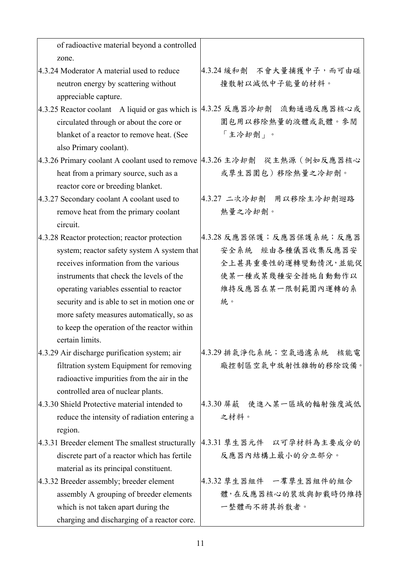| of radioactive material beyond a controlled      |                             |
|--------------------------------------------------|-----------------------------|
| zone.                                            |                             |
| 4.3.24 Moderator A material used to reduce       | 4.3.24 緩和劑 不會大量捕獲中子, 而可由碰   |
| neutron energy by scattering without             | 撞散射以減低中子能量的材料。              |
| appreciable capture.                             |                             |
| 4.3.25 Reactor coolant A liquid or gas which is  | 4.3.25 反應器冷却劑<br>流動通過反應器核心或 |
| circulated through or about the core or          | 圍包用以移除熱量的液體或氣體。參閱           |
| blanket of a reactor to remove heat. (See        | 「主冷却劑」。                     |
| also Primary coolant).                           |                             |
| 4.3.26 Primary coolant A coolant used to remove  | 4.3.26 主冷却劑 從主熱源 (例如反應器核心   |
| heat from a primary source, such as a            | 或孳生器圍包)移除熱量之冷却劑。            |
| reactor core or breeding blanket.                |                             |
| 4.3.27 Secondary coolant A coolant used to       | 4.3.27 二次冷却劑 用以移除主冷却劑迴路     |
| remove heat from the primary coolant             | 熱量之冷却劑。                     |
| circuit.                                         |                             |
| 4.3.28 Reactor protection; reactor protection    | 4.3.28 反應器保護;反應器保護系統;反應器    |
| system; reactor safety system A system that      | 安全系統 经由各种儀器收集反應器安           |
| receives information from the various            | 全上甚具重要性的運轉變動情況,並能促          |
| instruments that check the levels of the         | 使某一種或某幾種安全措施自動動作以           |
| operating variables essential to reactor         | 維持反應器在某一限制範圍內運轉的系           |
| security and is able to set in motion one or     | 統。                          |
| more safety measures automatically, so as        |                             |
| to keep the operation of the reactor within      |                             |
| certain limits.                                  |                             |
| 4.3.29 Air discharge purification system; air    | 4.3.29排氣淨化系統;空氣過濾系統<br>核能電  |
| filtration system Equipment for removing         | 廠控制區空氣中放射性雜物的移除設備。          |
| radioactive impurities from the air in the       |                             |
| controlled area of nuclear plants.               |                             |
| 4.3.30 Shield Protective material intended to    | 4.3.30 屏蔽 使進入某一區域的輻射強度減低    |
| reduce the intensity of radiation entering a     | 之材料。                        |
| region.                                          |                             |
| 4.3.31 Breeder element The smallest structurally | 4.3.31 孳生器元件 以可孕材料為主要成分的    |
| discrete part of a reactor which has fertile     | 反應器內結構上最小的分立部分。             |
| material as its principal constituent.           |                             |
| 4.3.32 Breeder assembly; breeder element         | 4.3.32 孳生器組件 一羣孳生器組件的組合     |
| assembly A grouping of breeder elements          | 體,在反應器核心的裝放與卸載時仍維持          |
| which is not taken apart during the              | 一整體而不將其拆散者。                 |
| charging and discharging of a reactor core.      |                             |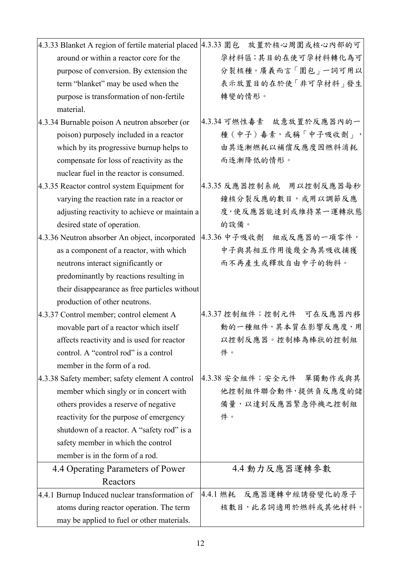|                                                 | 4.3.33 Blanket A region of fertile material placed   4.3.33 圍包 放置於核心周圍或核心內部的可 |
|-------------------------------------------------|-------------------------------------------------------------------------------|
| around or within a reactor core for the         | 孕材料區;其目的在使可孕材料轉化為可                                                            |
| purpose of conversion. By extension the         | 分裂核種。廣義而言「圍包」一詞可用以                                                            |
| term "blanket" may be used when the             | 表示放置目的在於使「非可孕材料」發生                                                            |
| purpose is transformation of non-fertile        | 轉變的情形。                                                                        |
| material.                                       |                                                                               |
| 4.3.34 Burnable poison A neutron absorber (or   | 4.3.34 可燃性毒素 故意放置於反應器內的一                                                      |
| poison) purposely included in a reactor         | 種 (中子) 毒素,或稱「中子吸收劑」,                                                          |
| which by its progressive burnup helps to        | 由其逐漸燃耗以補償反應度因燃料消耗                                                             |
| compensate for loss of reactivity as the        | 而逐漸降低的情形。                                                                     |
| nuclear fuel in the reactor is consumed.        |                                                                               |
| 4.3.35 Reactor control system Equipment for     | 4.3.35 反應器控制系統 用以控制反應器每秒                                                      |
| varying the reaction rate in a reactor or       | 鐘核分裂反應的數目,或用以調節反應                                                             |
| adjusting reactivity to achieve or maintain a   | 度,使反應器能達到或維持某一運轉狀態                                                            |
| desired state of operation.                     | 的設備。                                                                          |
| 4.3.36 Neutron absorber An object, incorporated | 4.3.36 中子吸收劑 組成反應器的一項零件,                                                      |
| as a component of a reactor, with which         | 中子與其相互作用後幾全為其吸收捕獲                                                             |
| neutrons interact significantly or              | 而不再產生或釋放自由中子的物料。                                                              |
| predominantly by reactions resulting in         |                                                                               |
| their disappearance as free particles without   |                                                                               |
| production of other neutrons.                   |                                                                               |
| 4.3.37 Control member; control element A        | 4.3.37 控制組件;控制元件 可在反應器內移                                                      |
| movable part of a reactor which itself          | 動的一種組件,其本質在影響反應度,用                                                            |
| affects reactivity and is used for reactor      | 以控制反應器。控制棒為棒狀的控制組                                                             |
| control. A "control rod" is a control           | 件。                                                                            |
| member in the form of a rod.                    |                                                                               |
| 4.3.38 Safety member; safety element A control  | 4.3.38 安全組件; 安全元件 單獨動作或與其                                                     |
| member which singly or in concert with          | 他控制組件聯合動件,提供負反應度的儲                                                            |
| others provides a reserve of negative           | 備量,以達到反應器緊急停機之控制組                                                             |
| reactivity for the purpose of emergency         | 件。                                                                            |
| shutdown of a reactor. A "safety rod" is a      |                                                                               |
| safety member in which the control              |                                                                               |
| member is in the form of a rod.                 |                                                                               |
| 4.4 Operating Parameters of Power               | 4.4 動力反應器運轉參數                                                                 |
| Reactors                                        |                                                                               |
| 4.4.1 Burnup Induced nuclear transformation of  | 4.4.1 燃耗 反應器運轉中經誘發變化的原子                                                       |
| atoms during reactor operation. The term        | 核數目,此名詞適用於燃料或其他材料。                                                            |
| may be applied to fuel or other materials.      |                                                                               |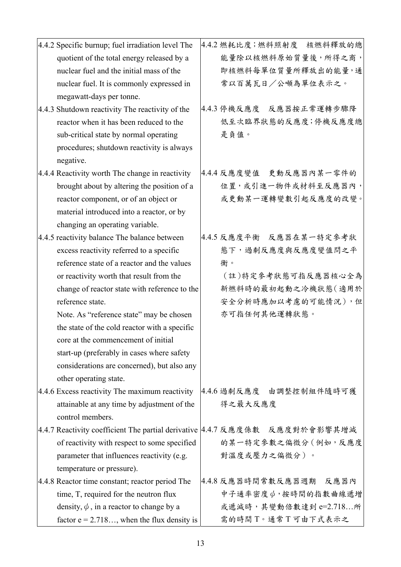| 4.4.2 Specific burnup; fuel irradiation level The                            | 4.4.2 燃耗比度;燃料照射度 核燃料釋放的總 |
|------------------------------------------------------------------------------|--------------------------|
| quotient of the total energy released by a                                   | 能量除以核燃料原始質量後,所得之商,       |
| nuclear fuel and the initial mass of the                                     | 即核燃料每單位質量所釋放出的能量,通       |
| nuclear fuel. It is commonly expressed in                                    | 常以百萬瓦日/公噸為單位表示之。         |
| megawatt-days per tonne.                                                     |                          |
| 4.4.3 Shutdown reactivity The reactivity of the                              | 4.4.3 停機反應度 反應器按正常運轉步驟降  |
| reactor when it has been reduced to the                                      | 低至次臨界狀態的反應度;停機反應度總       |
| sub-critical state by normal operating                                       | 是負值。                     |
| procedures; shutdown reactivity is always                                    |                          |
| negative.                                                                    |                          |
| 4.4.4 Reactivity worth The change in reactivity                              | 4.4.4 反應度變值 更動反應器內某一零件的  |
| brought about by altering the position of a                                  | 位置,或引進一物件或材料至反應器內,       |
| reactor component, or of an object or                                        | 或更動某一運轉變數引起反應度的改變。       |
| material introduced into a reactor, or by                                    |                          |
| changing an operating variable.                                              |                          |
| 4.4.5 reactivity balance The balance between                                 | 4.4.5 反應度平衡 反應器在某一特定參考狀  |
| excess reactivity referred to a specific                                     | 態下,過剩反應度與反應度變值問之平        |
| reference state of a reactor and the values                                  | 衡。                       |
| or reactivity worth that result from the                                     | (註)特定參考狀態可指反應器核心全為       |
| change of reactor state with reference to the                                | 新燃料時的最初起動之冷機狀態(適用於       |
| reference state.                                                             | 安全分析時應加以考慮的可能情況),但       |
| Note. As "reference state" may be chosen                                     | 亦可指任何其他運轉狀態。             |
| the state of the cold reactor with a specific                                |                          |
| core at the commencement of initial                                          |                          |
| start-up (preferably in cases where safety                                   |                          |
| considerations are concerned), but also any                                  |                          |
| other operating state.                                                       |                          |
| 4.4.6 Excess reactivity The maximum reactivity                               | 4.4.6 過剩反應度 由調整控制組件隨時可獲  |
| attainable at any time by adjustment of the                                  | 得之最大反應度                  |
| control members.                                                             |                          |
| 4.4.7 Reactivity coefficient The partial derivative  4.4.7 反應度係數 反應度對於會影響其增減 |                          |
| of reactivity with respect to some specified                                 | 的某一特定參數之偏微分(例如,反應度       |
| parameter that influences reactivity (e.g.                                   | 對溫度或壓力之偏微分)。             |
| temperature or pressure).                                                    |                          |
| 4.4.8 Reactor time constant; reactor period The                              | 4.4.8 反應器時間常數反應器週期 反應器內  |
| time, T, required for the neutron flux                                       | 中子通率密度 (), 按時間的指數曲線遞增    |
| density, $\phi$ , in a reactor to change by a                                | 或遞減時,其變動倍數達到 e=2.718所    |
| factor $e = 2.718$ , when the flux density is                                | 需的時間T。通常T可由下式表示之         |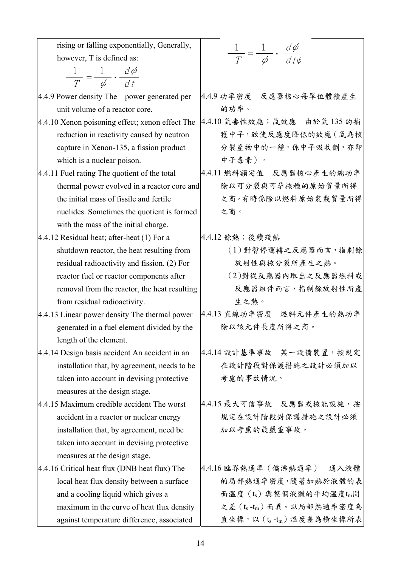| rising or falling exponentially, Generally,<br>$\frac{1}{T} = \frac{1}{\phi} \cdot \frac{d\phi}{dt\phi}$<br>however, T is defined as:<br>$\frac{1}{T} = \frac{1}{\phi} \cdot \frac{d\phi}{dt}$<br>4.4.9 功率密度 反應器核心每單位體積產生<br>4.4.9 Power density The power generated per<br>的功率。<br>unit volume of a reactor core.<br>4.4.10 氙毒性效應; 氙效應 由於氙 135 的捕<br>4.4.10 Xenon poisoning effect; xenon effect The<br>獲中子,致使反應度降低的效應 ( 氙為核<br>reduction in reactivity caused by neutron<br>分裂產物中的一種,係中子吸收劑,亦即<br>capture in Xenon-135, a fission product<br>中子毒素)。<br>which is a nuclear poison.<br>4.4.11 Fuel rating The quotient of the total<br>4.4.11 燃料額定值 反應器核心產生的總功率<br>除以可分裂與可孕核種的原始質量所得<br>thermal power evolved in a reactor core and<br>之商。有時係除以燃料原始裝載質量所得<br>the initial mass of fissile and fertile<br>之商。<br>nuclides. Sometimes the quotient is formed<br>with the mass of the initial charge.<br>4.4.12 餘熱;後續殘熱<br>$4.4.12$ Residual heat; after-heat $(1)$ For a<br>(1)對暫停運轉之反應器而言,指剩餘<br>shutdown reactor, the heat resulting from<br>放射性與核分裂所產生之熱。<br>residual radioactivity and fission. (2) For<br>(2)對從反應器內取出之反應器燃料或<br>reactor fuel or reactor components after<br>反應器組件而言,指剩餘放射性所產<br>removal from the reactor, the heat resulting<br>生之熱。<br>from residual radioactivity.<br>4.4.13 直線功率密度 燃料元件產生的熱功率<br>4.4.13 Linear power density The thermal power<br>除以該元件長度所得之商。<br>generated in a fuel element divided by the<br>length of the element.<br>4.4.14設計基準事故 某一設備裝置,按規定<br>4.4.14 Design basis accident An accident in an<br>在設計階段對保護措施之設計必須加以<br>installation that, by agreement, needs to be<br>考慮的事故情況。<br>taken into account in devising protective<br>measures at the design stage.<br>4.4.15 最大可信事故 反應器或核能設施,按<br>4.4.15 Maximum credible accident The worst<br>規定在設計階段對保護措施之設計必須<br>accident in a reactor or nuclear energy<br>加以考慮的最嚴重事故。<br>installation that, by agreement, need be<br>taken into account in devising protective<br>measures at the design stage.<br>4.4.16 臨界熱通率(偏沸熱通率)<br>4.4.16 Critical heat flux (DNB heat flux) The<br>通入液體<br>的局部熱通率密度,隨著加熱於液體的表<br>local heat flux density between a surface<br>面溫度(ts)與整個液體的平均溫度tm間<br>and a cooling liquid which gives a<br>之差(ts-tm)而異。以局部熱通率密度為<br>maximum in the curve of heat flux density<br>直坐標,以(ts-tm)溫度差為橫坐標所表<br>against temperature difference, associated |  |
|----------------------------------------------------------------------------------------------------------------------------------------------------------------------------------------------------------------------------------------------------------------------------------------------------------------------------------------------------------------------------------------------------------------------------------------------------------------------------------------------------------------------------------------------------------------------------------------------------------------------------------------------------------------------------------------------------------------------------------------------------------------------------------------------------------------------------------------------------------------------------------------------------------------------------------------------------------------------------------------------------------------------------------------------------------------------------------------------------------------------------------------------------------------------------------------------------------------------------------------------------------------------------------------------------------------------------------------------------------------------------------------------------------------------------------------------------------------------------------------------------------------------------------------------------------------------------------------------------------------------------------------------------------------------------------------------------------------------------------------------------------------------------------------------------------------------------------------------------------------------------------------------------------------------------------------------------------------------------------------------------------------------------------------------------------------------------------------------------------------------------------------------------------------------------------------------------------------------------------------------------------------------------------------------------------------------------------------------------------|--|
|                                                                                                                                                                                                                                                                                                                                                                                                                                                                                                                                                                                                                                                                                                                                                                                                                                                                                                                                                                                                                                                                                                                                                                                                                                                                                                                                                                                                                                                                                                                                                                                                                                                                                                                                                                                                                                                                                                                                                                                                                                                                                                                                                                                                                                                                                                                                                          |  |
|                                                                                                                                                                                                                                                                                                                                                                                                                                                                                                                                                                                                                                                                                                                                                                                                                                                                                                                                                                                                                                                                                                                                                                                                                                                                                                                                                                                                                                                                                                                                                                                                                                                                                                                                                                                                                                                                                                                                                                                                                                                                                                                                                                                                                                                                                                                                                          |  |
|                                                                                                                                                                                                                                                                                                                                                                                                                                                                                                                                                                                                                                                                                                                                                                                                                                                                                                                                                                                                                                                                                                                                                                                                                                                                                                                                                                                                                                                                                                                                                                                                                                                                                                                                                                                                                                                                                                                                                                                                                                                                                                                                                                                                                                                                                                                                                          |  |
|                                                                                                                                                                                                                                                                                                                                                                                                                                                                                                                                                                                                                                                                                                                                                                                                                                                                                                                                                                                                                                                                                                                                                                                                                                                                                                                                                                                                                                                                                                                                                                                                                                                                                                                                                                                                                                                                                                                                                                                                                                                                                                                                                                                                                                                                                                                                                          |  |
|                                                                                                                                                                                                                                                                                                                                                                                                                                                                                                                                                                                                                                                                                                                                                                                                                                                                                                                                                                                                                                                                                                                                                                                                                                                                                                                                                                                                                                                                                                                                                                                                                                                                                                                                                                                                                                                                                                                                                                                                                                                                                                                                                                                                                                                                                                                                                          |  |
|                                                                                                                                                                                                                                                                                                                                                                                                                                                                                                                                                                                                                                                                                                                                                                                                                                                                                                                                                                                                                                                                                                                                                                                                                                                                                                                                                                                                                                                                                                                                                                                                                                                                                                                                                                                                                                                                                                                                                                                                                                                                                                                                                                                                                                                                                                                                                          |  |
|                                                                                                                                                                                                                                                                                                                                                                                                                                                                                                                                                                                                                                                                                                                                                                                                                                                                                                                                                                                                                                                                                                                                                                                                                                                                                                                                                                                                                                                                                                                                                                                                                                                                                                                                                                                                                                                                                                                                                                                                                                                                                                                                                                                                                                                                                                                                                          |  |
|                                                                                                                                                                                                                                                                                                                                                                                                                                                                                                                                                                                                                                                                                                                                                                                                                                                                                                                                                                                                                                                                                                                                                                                                                                                                                                                                                                                                                                                                                                                                                                                                                                                                                                                                                                                                                                                                                                                                                                                                                                                                                                                                                                                                                                                                                                                                                          |  |
|                                                                                                                                                                                                                                                                                                                                                                                                                                                                                                                                                                                                                                                                                                                                                                                                                                                                                                                                                                                                                                                                                                                                                                                                                                                                                                                                                                                                                                                                                                                                                                                                                                                                                                                                                                                                                                                                                                                                                                                                                                                                                                                                                                                                                                                                                                                                                          |  |
|                                                                                                                                                                                                                                                                                                                                                                                                                                                                                                                                                                                                                                                                                                                                                                                                                                                                                                                                                                                                                                                                                                                                                                                                                                                                                                                                                                                                                                                                                                                                                                                                                                                                                                                                                                                                                                                                                                                                                                                                                                                                                                                                                                                                                                                                                                                                                          |  |
|                                                                                                                                                                                                                                                                                                                                                                                                                                                                                                                                                                                                                                                                                                                                                                                                                                                                                                                                                                                                                                                                                                                                                                                                                                                                                                                                                                                                                                                                                                                                                                                                                                                                                                                                                                                                                                                                                                                                                                                                                                                                                                                                                                                                                                                                                                                                                          |  |
|                                                                                                                                                                                                                                                                                                                                                                                                                                                                                                                                                                                                                                                                                                                                                                                                                                                                                                                                                                                                                                                                                                                                                                                                                                                                                                                                                                                                                                                                                                                                                                                                                                                                                                                                                                                                                                                                                                                                                                                                                                                                                                                                                                                                                                                                                                                                                          |  |
|                                                                                                                                                                                                                                                                                                                                                                                                                                                                                                                                                                                                                                                                                                                                                                                                                                                                                                                                                                                                                                                                                                                                                                                                                                                                                                                                                                                                                                                                                                                                                                                                                                                                                                                                                                                                                                                                                                                                                                                                                                                                                                                                                                                                                                                                                                                                                          |  |
|                                                                                                                                                                                                                                                                                                                                                                                                                                                                                                                                                                                                                                                                                                                                                                                                                                                                                                                                                                                                                                                                                                                                                                                                                                                                                                                                                                                                                                                                                                                                                                                                                                                                                                                                                                                                                                                                                                                                                                                                                                                                                                                                                                                                                                                                                                                                                          |  |
|                                                                                                                                                                                                                                                                                                                                                                                                                                                                                                                                                                                                                                                                                                                                                                                                                                                                                                                                                                                                                                                                                                                                                                                                                                                                                                                                                                                                                                                                                                                                                                                                                                                                                                                                                                                                                                                                                                                                                                                                                                                                                                                                                                                                                                                                                                                                                          |  |
|                                                                                                                                                                                                                                                                                                                                                                                                                                                                                                                                                                                                                                                                                                                                                                                                                                                                                                                                                                                                                                                                                                                                                                                                                                                                                                                                                                                                                                                                                                                                                                                                                                                                                                                                                                                                                                                                                                                                                                                                                                                                                                                                                                                                                                                                                                                                                          |  |
|                                                                                                                                                                                                                                                                                                                                                                                                                                                                                                                                                                                                                                                                                                                                                                                                                                                                                                                                                                                                                                                                                                                                                                                                                                                                                                                                                                                                                                                                                                                                                                                                                                                                                                                                                                                                                                                                                                                                                                                                                                                                                                                                                                                                                                                                                                                                                          |  |
|                                                                                                                                                                                                                                                                                                                                                                                                                                                                                                                                                                                                                                                                                                                                                                                                                                                                                                                                                                                                                                                                                                                                                                                                                                                                                                                                                                                                                                                                                                                                                                                                                                                                                                                                                                                                                                                                                                                                                                                                                                                                                                                                                                                                                                                                                                                                                          |  |
|                                                                                                                                                                                                                                                                                                                                                                                                                                                                                                                                                                                                                                                                                                                                                                                                                                                                                                                                                                                                                                                                                                                                                                                                                                                                                                                                                                                                                                                                                                                                                                                                                                                                                                                                                                                                                                                                                                                                                                                                                                                                                                                                                                                                                                                                                                                                                          |  |
|                                                                                                                                                                                                                                                                                                                                                                                                                                                                                                                                                                                                                                                                                                                                                                                                                                                                                                                                                                                                                                                                                                                                                                                                                                                                                                                                                                                                                                                                                                                                                                                                                                                                                                                                                                                                                                                                                                                                                                                                                                                                                                                                                                                                                                                                                                                                                          |  |
|                                                                                                                                                                                                                                                                                                                                                                                                                                                                                                                                                                                                                                                                                                                                                                                                                                                                                                                                                                                                                                                                                                                                                                                                                                                                                                                                                                                                                                                                                                                                                                                                                                                                                                                                                                                                                                                                                                                                                                                                                                                                                                                                                                                                                                                                                                                                                          |  |
|                                                                                                                                                                                                                                                                                                                                                                                                                                                                                                                                                                                                                                                                                                                                                                                                                                                                                                                                                                                                                                                                                                                                                                                                                                                                                                                                                                                                                                                                                                                                                                                                                                                                                                                                                                                                                                                                                                                                                                                                                                                                                                                                                                                                                                                                                                                                                          |  |
|                                                                                                                                                                                                                                                                                                                                                                                                                                                                                                                                                                                                                                                                                                                                                                                                                                                                                                                                                                                                                                                                                                                                                                                                                                                                                                                                                                                                                                                                                                                                                                                                                                                                                                                                                                                                                                                                                                                                                                                                                                                                                                                                                                                                                                                                                                                                                          |  |
|                                                                                                                                                                                                                                                                                                                                                                                                                                                                                                                                                                                                                                                                                                                                                                                                                                                                                                                                                                                                                                                                                                                                                                                                                                                                                                                                                                                                                                                                                                                                                                                                                                                                                                                                                                                                                                                                                                                                                                                                                                                                                                                                                                                                                                                                                                                                                          |  |
|                                                                                                                                                                                                                                                                                                                                                                                                                                                                                                                                                                                                                                                                                                                                                                                                                                                                                                                                                                                                                                                                                                                                                                                                                                                                                                                                                                                                                                                                                                                                                                                                                                                                                                                                                                                                                                                                                                                                                                                                                                                                                                                                                                                                                                                                                                                                                          |  |
|                                                                                                                                                                                                                                                                                                                                                                                                                                                                                                                                                                                                                                                                                                                                                                                                                                                                                                                                                                                                                                                                                                                                                                                                                                                                                                                                                                                                                                                                                                                                                                                                                                                                                                                                                                                                                                                                                                                                                                                                                                                                                                                                                                                                                                                                                                                                                          |  |
|                                                                                                                                                                                                                                                                                                                                                                                                                                                                                                                                                                                                                                                                                                                                                                                                                                                                                                                                                                                                                                                                                                                                                                                                                                                                                                                                                                                                                                                                                                                                                                                                                                                                                                                                                                                                                                                                                                                                                                                                                                                                                                                                                                                                                                                                                                                                                          |  |
|                                                                                                                                                                                                                                                                                                                                                                                                                                                                                                                                                                                                                                                                                                                                                                                                                                                                                                                                                                                                                                                                                                                                                                                                                                                                                                                                                                                                                                                                                                                                                                                                                                                                                                                                                                                                                                                                                                                                                                                                                                                                                                                                                                                                                                                                                                                                                          |  |
|                                                                                                                                                                                                                                                                                                                                                                                                                                                                                                                                                                                                                                                                                                                                                                                                                                                                                                                                                                                                                                                                                                                                                                                                                                                                                                                                                                                                                                                                                                                                                                                                                                                                                                                                                                                                                                                                                                                                                                                                                                                                                                                                                                                                                                                                                                                                                          |  |
|                                                                                                                                                                                                                                                                                                                                                                                                                                                                                                                                                                                                                                                                                                                                                                                                                                                                                                                                                                                                                                                                                                                                                                                                                                                                                                                                                                                                                                                                                                                                                                                                                                                                                                                                                                                                                                                                                                                                                                                                                                                                                                                                                                                                                                                                                                                                                          |  |
|                                                                                                                                                                                                                                                                                                                                                                                                                                                                                                                                                                                                                                                                                                                                                                                                                                                                                                                                                                                                                                                                                                                                                                                                                                                                                                                                                                                                                                                                                                                                                                                                                                                                                                                                                                                                                                                                                                                                                                                                                                                                                                                                                                                                                                                                                                                                                          |  |
|                                                                                                                                                                                                                                                                                                                                                                                                                                                                                                                                                                                                                                                                                                                                                                                                                                                                                                                                                                                                                                                                                                                                                                                                                                                                                                                                                                                                                                                                                                                                                                                                                                                                                                                                                                                                                                                                                                                                                                                                                                                                                                                                                                                                                                                                                                                                                          |  |
|                                                                                                                                                                                                                                                                                                                                                                                                                                                                                                                                                                                                                                                                                                                                                                                                                                                                                                                                                                                                                                                                                                                                                                                                                                                                                                                                                                                                                                                                                                                                                                                                                                                                                                                                                                                                                                                                                                                                                                                                                                                                                                                                                                                                                                                                                                                                                          |  |
|                                                                                                                                                                                                                                                                                                                                                                                                                                                                                                                                                                                                                                                                                                                                                                                                                                                                                                                                                                                                                                                                                                                                                                                                                                                                                                                                                                                                                                                                                                                                                                                                                                                                                                                                                                                                                                                                                                                                                                                                                                                                                                                                                                                                                                                                                                                                                          |  |
|                                                                                                                                                                                                                                                                                                                                                                                                                                                                                                                                                                                                                                                                                                                                                                                                                                                                                                                                                                                                                                                                                                                                                                                                                                                                                                                                                                                                                                                                                                                                                                                                                                                                                                                                                                                                                                                                                                                                                                                                                                                                                                                                                                                                                                                                                                                                                          |  |
|                                                                                                                                                                                                                                                                                                                                                                                                                                                                                                                                                                                                                                                                                                                                                                                                                                                                                                                                                                                                                                                                                                                                                                                                                                                                                                                                                                                                                                                                                                                                                                                                                                                                                                                                                                                                                                                                                                                                                                                                                                                                                                                                                                                                                                                                                                                                                          |  |
|                                                                                                                                                                                                                                                                                                                                                                                                                                                                                                                                                                                                                                                                                                                                                                                                                                                                                                                                                                                                                                                                                                                                                                                                                                                                                                                                                                                                                                                                                                                                                                                                                                                                                                                                                                                                                                                                                                                                                                                                                                                                                                                                                                                                                                                                                                                                                          |  |
|                                                                                                                                                                                                                                                                                                                                                                                                                                                                                                                                                                                                                                                                                                                                                                                                                                                                                                                                                                                                                                                                                                                                                                                                                                                                                                                                                                                                                                                                                                                                                                                                                                                                                                                                                                                                                                                                                                                                                                                                                                                                                                                                                                                                                                                                                                                                                          |  |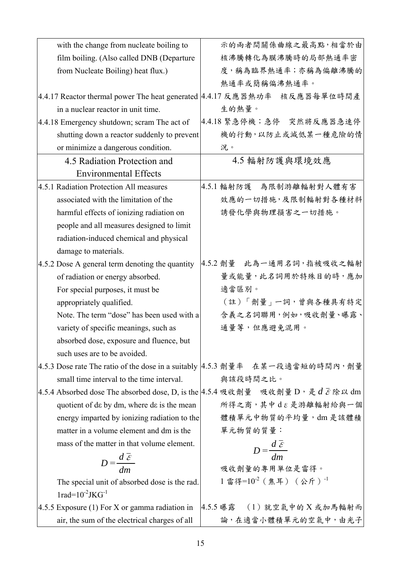| with the change from nucleate boiling to                                   | 示的兩者間關係曲線之最高點,相當於由                                                                            |
|----------------------------------------------------------------------------|-----------------------------------------------------------------------------------------------|
| film boiling. (Also called DNB (Departure                                  | 核沸騰轉化為膜沸騰時的局部熱通率密                                                                             |
| from Nucleate Boiling) heat flux.)                                         | 度,稱為臨界熱通率;亦稱為偏離沸騰的                                                                            |
|                                                                            | 熱通率或簡稱偏沸熱通率。                                                                                  |
| 4.4.17 Reactor thermal power The heat generated   4.4.17 反應器熱功率 核反應器每單位時間產 |                                                                                               |
| in a nuclear reactor in unit time.                                         | 生的熱量。                                                                                         |
| 4.4.18 Emergency shutdown; scram The act of                                | 4.4.18 緊急停機;急停 突然將反應器急速停                                                                      |
| shutting down a reactor suddenly to prevent                                | 機的行動,以防止或減低某一種危險的情                                                                            |
| or minimize a dangerous condition.                                         | 況。                                                                                            |
| 4.5 Radiation Protection and                                               | 4.5 輻射防護與環境效應                                                                                 |
| <b>Environmental Effects</b>                                               |                                                                                               |
| 4.5.1 Radiation Protection All measures                                    | 4.5.1 輻射防護 為限制游離輻射對人體有害                                                                       |
| associated with the limitation of the                                      | 效應的一切措施,及限制輻射對各種材料                                                                            |
| harmful effects of ionizing radiation on                                   | 誘發化學與物理損害之一切措施。                                                                               |
| people and all measures designed to limit                                  |                                                                                               |
| radiation-induced chemical and physical                                    |                                                                                               |
| damage to materials.                                                       |                                                                                               |
| 4.5.2 Dose A general term denoting the quantity                            | 4.5.2 劑量 此為一通用名詞,指被吸收之輻射                                                                      |
| of radiation or energy absorbed.                                           | 量或能量,此名詞用於特殊目的時,應加                                                                            |
| For special purposes, it must be                                           | 適當區別。                                                                                         |
| appropriately qualified.                                                   | (註)「劑量」一詞,曾與各種具有特定                                                                            |
| Note. The term "dose" has been used with a                                 | 含義之名詞聯用,例如,吸收劑量、曝露、                                                                           |
| variety of specific meanings, such as                                      | 通量等,但應避免混用。                                                                                   |
| absorbed dose, exposure and fluence, but                                   |                                                                                               |
| such uses are to be avoided.                                               |                                                                                               |
|                                                                            | 4.5.3 Dose rate The ratio of the dose in a suitably   4.5.3 劑量率 在某一段適當短的時間內, 劑量               |
| small time interval to the time interval.                                  | 與該段時間之比。                                                                                      |
|                                                                            | 4.5.4 Absorbed dose The absorbed dose, D, is the 4.5.4 吸收劑量 吸收劑量 D, 是 $d \in \mathbb{R}$ 以 dm |
| quotient of de by dm, where de is the mean                                 | 所得之商,其中d & 是游離輻射給與一個                                                                          |
| energy imparted by ionizing radiation to the                               | 體積單元中物質的平均量,dm是該體積                                                                            |
| matter in a volume element and dm is the                                   | 單元物質的質量:                                                                                      |
| mass of the matter in that volume element.                                 | $D = \frac{d \mathcal{E}}{dm}$                                                                |
| $D = \frac{d \mathcal{E}}{dm}$                                             |                                                                                               |
|                                                                            | 吸收劑量的專用單位是雷得。                                                                                 |
| The special unit of absorbed dose is the rad.                              | 1 雷得=10 <sup>-2</sup> (焦耳) (公斤) <sup>-1</sup>                                                 |
| $1rad=10^{-2}JKG^{-1}$                                                     |                                                                                               |
|                                                                            | 4.5.5 Exposure (1) For X or gamma radiation in  4.5.5 曝露 (1)就空氣中的 X 或加馬輻射而                    |
| air, the sum of the electrical charges of all                              | 論,在適當小體積單元的空氣中,由光子                                                                            |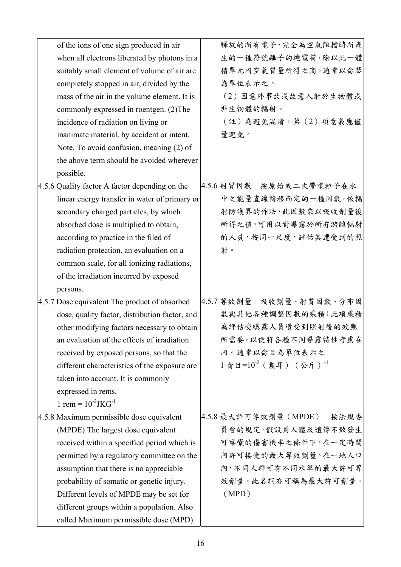| of the ions of one sign produced in air        | 釋放的所有電子,完全為空氣阻擋時所產                  |
|------------------------------------------------|-------------------------------------|
| when all electrons liberated by photons in a   | 生的一種符號離子的總電荷,除以此一體                  |
| suitably small element of volume of air are    | 積單元內空氣質量所得之商。通常以侖琴                  |
| completely stopped in air, divided by the      | 為單位表示之。                             |
| mass of the air in the volume element. It is   | (2) 因意外事故或故意入射於生物體或                 |
| commonly expressed in roentgen. (2) The        | 非生物體的輻射。                            |
| incidence of radiation on living or            | (註)為避免混淆,第(2)項意義應儘                  |
| inanimate material, by accident or intent.     | 量避免。                                |
| Note. To avoid confusion, meaning (2) of       |                                     |
| the above term should be avoided wherever      |                                     |
| possible.                                      |                                     |
| 4.5.6 Quality factor A factor depending on the | 4.5.6 射質因數 按原始或二次帶電粒子在水             |
| linear energy transfer in water of primary or  | 中之能量直線轉移而定的一種因數,依輻                  |
| secondary charged particles, by which          | 射防護界的作法,此因數乘以吸收劑量後                  |
| absorbed dose is multiplied to obtain,         | 所得之值,可用以對曝露於所有游離輻射                  |
| according to practice in the filed of          | 的人員,按同一尺度,評估其遭受到的照                  |
| radiation protection, an evaluation on a       | 射。                                  |
| common scale, for all ionizing radiations,     |                                     |
| of the irradiation incurred by exposed         |                                     |
| persons.                                       |                                     |
| 4.5.7 Dose equivalent The product of absorbed  | 4.5.7 等效劑量 吸收劑量、射質因數、分布因            |
| dose, quality factor, distribution factor, and | 數與其他各種調整因數的乘積;此項乘積                  |
| other modifying factors necessary to obtain    | 為評估受曝露人員遭受到照射後的效應                   |
| an evaluation of the effects of irradiation    | 所需要,以便將各種不同曝露特性考慮在                  |
| received by exposed persons, so that the       | 內。通常以侖目為單位表示之                       |
| different characteristics of the exposure are  | $1$ 命目= $10^{-2}$ (焦耳) (公斤) $^{-1}$ |
| taken into account. It is commonly             |                                     |
| expressed in rems.                             |                                     |
| 1 rem = $10^{-2}$ JKG <sup>-1</sup>            |                                     |
| 4.5.8 Maximum permissible dose equivalent      | 4.5.8 最大許可等效劑量 (MPDE)<br>按法規委       |
| (MPDE) The largest dose equivalent             | 員會的規定,假設對人體及遺傳不致發生                  |
| received within a specified period which is    | 可察覺的傷害機率之條件下,在一定時間                  |
| permitted by a regulatory committee on the     | 内許可接受的最大等效劑量。在一地人口                  |
| assumption that there is no appreciable        | 內,不同人群可有不同水準的最大許可等                  |
| probability of somatic or genetic injury.      | 效劑量。此名詞亦可稱為最大許可劑量。                  |
| Different levels of MPDE may be set for        | (MPD)                               |
| different groups within a population. Also     |                                     |
| called Maximum permissible dose (MPD).         |                                     |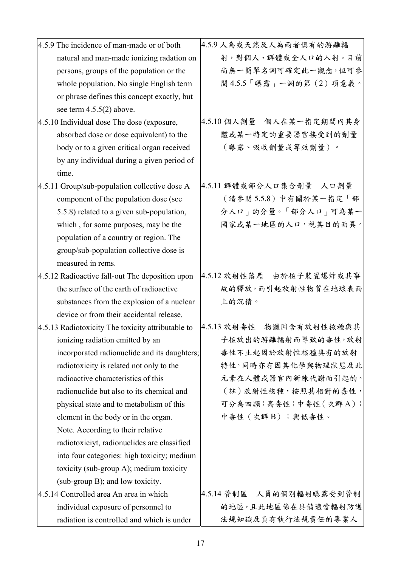| 4.5.9 The incidence of man-made or of both    | 4.5. |
|-----------------------------------------------|------|
| natural and man-made ionizing radation on     |      |
| persons, groups of the population or the      |      |
| whole population. No single English term      |      |
| or phrase defines this concept exactly, but   |      |
| see term $4.5.5(2)$ above.                    |      |
| 4.5.10 Individual dose The dose (exposure,    | 4.5. |
| absorbed dose or dose equivalent) to the      |      |
| body or to a given critical organ received    |      |
| by any individual during a given period of    |      |
| time.                                         |      |
| 4.5.11 Group/sub-population collective dose A | 4.5. |
| component of the population dose (see         |      |
| 5.5.8) related to a given sub-population,     |      |
| which, for some purposes, may be the          |      |
| population of a country or region. The        |      |
| group/sub-population collective dose is       |      |
| measured in rems.                             |      |

- 4.5.12 Radioactive fall-out The deposition upon the surface of the earth of radioactive substances from the explosion of a nuclear device or from their accidental release.
- 4.5.13 Radiotoxicity The toxicity attributable to ionizing radiation emitted by an incorporated radionuclide and its daughters; radiotoxicity is related not only to the radioactive characteristics of this radionuclide but also to its chemical and physical state and to metabolism of this element in the body or in the organ. Note. According to their relative radiotoxiciyt, radionuclides are classified into four categories: high toxicity; medium toxicity (sub-group A); medium toxicity (sub-group B); and low toxicity.
- 4.5.14 Controlled area An area in which individual exposure of personnel to radiation is controlled and which is under

4.5.9 人為或天然及人為兩者俱有的游離輻 射,對個人、群體或全人口的入射。目前 尚無一簡單名詞可確定此一觀念,但可參 閱 4.5.5「曝露」一詞的第(2)項意義。

- 4.5.10 個人劑量 個人在某一指定期間內其身 體或某一特定的重要器官接受到的劑量 (曝露、吸收劑量或等效劑量)。
- 4.5.11 群體或部分人口集合劑量 人口劑量 (請參閱 5.5.8)中有關於某一指定「部 分人口」的分量。「部分人口」可為某一 國家或某一地區的人口,視其目的而異。
- 4.5.12 放射性落塵 由於核子裝置爆炸或其事 故的釋放,而引起放射性物質在地球表面 上的沉積。
- 4.5.13 放射毒性 物體因含有放射性核種與其 子核放出的游離輻射而導致的毒性,放射 毒性不止起因於放射性核種具有的放射 特性,同時亦有因其化學與物理狀態及此 元素在人體或器官內新陳代謝而引起的。 (註)放射性核種,按照其相對的毒性, 可分為四類:高毒性;中毒性(次群 A); 中毒性 (次群 B);與低毒性。

4.5.14 管制區 人員的個別輻射曝露受到管制 的地區,且此地區係在具備適當輻射防護 法規知識及負有執行法規責任的專業人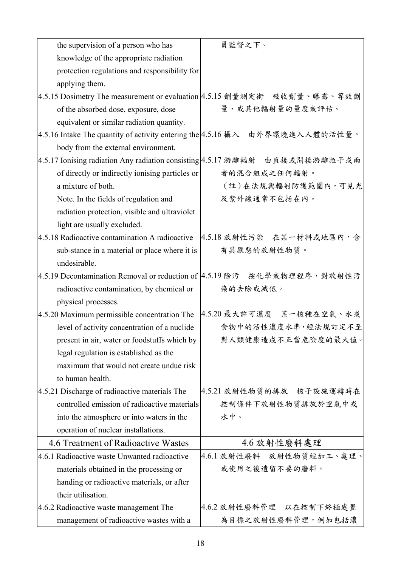| the supervision of a person who has                                          | 員監督之下。                                                                  |
|------------------------------------------------------------------------------|-------------------------------------------------------------------------|
| knowledge of the appropriate radiation                                       |                                                                         |
| protection regulations and responsibility for                                |                                                                         |
| applying them.                                                               |                                                                         |
| 4.5.15 Dosimetry The measurement or evaluation  4.5.15 劑量測定術 吸收劑量、曝露、等效劑     |                                                                         |
| of the absorbed dose, exposure, dose                                         | 量、或其他輻射量的量度或評估。                                                         |
| equivalent or similar radiation quantity.                                    |                                                                         |
| 4.5.16 Intake The quantity of activity entering the 4.5.16 攝入 由外界環境進入人體的活性量。 |                                                                         |
| body from the external environment.                                          |                                                                         |
| 4.5.17 Ionising radiation Any radiation consisting 4.5.17 游離輻射 由直接或間接游離粒子或兩  |                                                                         |
| of directly or indirectly ionising particles or                              | 者的混合組成之任何輻射。                                                            |
| a mixture of both.                                                           | (註)在法規與輻射防護範圍內,可見光                                                      |
| Note. In the fields of regulation and                                        | 及紫外線通常不包括在內。                                                            |
| radiation protection, visible and ultraviolet                                |                                                                         |
| light are usually excluded.                                                  |                                                                         |
| 4.5.18 Radioactive contamination A radioactive                               | 4.5.18 放射性污染 在某一材料或地區內,含                                                |
| sub-stance in a material or place where it is                                | 有其厭惡的放射性物質。                                                             |
| undesirable.                                                                 |                                                                         |
| 4.5.19 Decontamination Removal or reduction of  4.5.19 除污 按化學或物理程序, 對放射性污    |                                                                         |
| radioactive contamination, by chemical or                                    | 染的去除或減低。                                                                |
| physical processes.                                                          |                                                                         |
|                                                                              | 4.5.20 Maximum permissible concentration The   4.5.20 最大許可濃度 某一核種在空氣、水或 |
| level of activity concentration of a nuclide                                 | 食物中的活性濃度水準,經法規訂定不至                                                      |
| present in air, water or foodstuffs which by                                 | 對人類健康造成不正當危險度的最大值。                                                      |
| legal regulation is established as the                                       |                                                                         |
| maximum that would not create undue risk                                     |                                                                         |
| to human health.                                                             |                                                                         |
| 4.5.21 Discharge of radioactive materials The                                | 4.5.21 放射性物質的排放 核子設施運轉時在                                                |
| controlled emission of radioactive materials                                 | 控制條件下放射性物質排放於空氣中或                                                       |
| into the atmosphere or into waters in the                                    | 水中。                                                                     |
| operation of nuclear installations.                                          |                                                                         |
| 4.6 Treatment of Radioactive Wastes                                          | 4.6 放射性廢料處理                                                             |
| 4.6.1 Radioactive waste Unwanted radioactive                                 | 4.6.1 放射性廢料 放射性物質經加工、處理、                                                |
| materials obtained in the processing or                                      | 或使用之後遺留不要的廢料。                                                           |
| handing or radioactive materials, or after                                   |                                                                         |
| their utilisation.                                                           |                                                                         |
| 4.6.2 Radioactive waste management The                                       | 4.6.2 放射性廢料管理 以在控制下終極處置                                                 |
| management of radioactive wastes with a                                      | 為目標之放射性廢料管理,例如包括濃                                                       |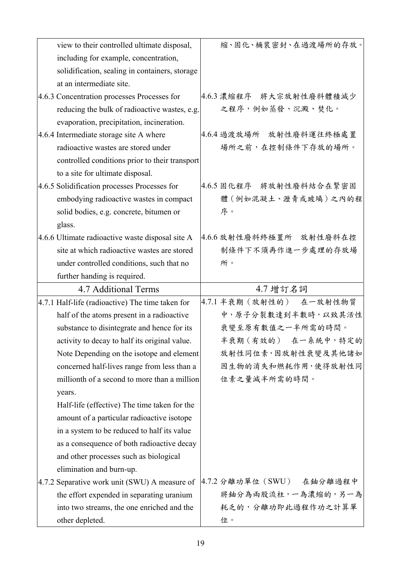| view to their controlled ultimate disposal,      | 縮、固化、桶裝密封、在過渡場所的存放。       |
|--------------------------------------------------|---------------------------|
| including for example, concentration,            |                           |
| solidification, sealing in containers, storage   |                           |
| at an intermediate site.                         |                           |
| 4.6.3 Concentration processes Processes for      | 4.6.3 濃縮程序 將大宗放射性廢料體積減少   |
| reducing the bulk of radioactive wastes, e.g.    | 之程序,例如蒸發、沉澱、焚化。           |
| evaporation, precipitation, incineration.        |                           |
| 4.6.4 Intermediate storage site A where          | 4.6.4 過渡放場所 放射性廢料運往終極處置   |
| radioactive wastes are stored under              | 場所之前,在控制條件下存放的場所。         |
| controlled conditions prior to their transport   |                           |
| to a site for ultimate disposal.                 |                           |
| 4.6.5 Solidification processes Processes for     | 4.6.5 固化程序 將放射性廢料結合在緊密固   |
| embodying radioactive wastes in compact          | 體(例如混凝土、瀝青或玻璃)之內的程        |
| solid bodies, e.g. concrete, bitumen or          | 序。                        |
| glass.                                           |                           |
| 4.6.6 Ultimate radioactive waste disposal site A | 4.6.6 放射性廢料終極置所 放射性廢料在控   |
| site at which radioactive wastes are stored      | 制條件下不須再作進一步處理的存放場         |
| under controlled conditions, such that no        | 所。                        |
| further handing is required.                     |                           |
|                                                  |                           |
| 4.7 Additional Terms                             | 4.7 增訂名詞                  |
| 4.7.1 Half-life (radioactive) The time taken for | 4.7.1 半衰期 (放射性的) 在一放射性物質  |
| half of the atoms present in a radioactive       | 中,原子分裂數達到半數時,以致其活性        |
| substance to disintegrate and hence for its      | 衰變至原有數值之一半所需的時間。          |
| activity to decay to half its original value.    | 半衰期(有效的) 在一系統中,特定的        |
| Note Depending on the isotope and element        | 放射性同位素,因放射性衰變及其他諸如        |
| concerned half-lives range from less than a      | 因生物的消失和燃耗作用,使得放射性同        |
| millionth of a second to more than a million     | 位素之量減半所需的時間。              |
| years.                                           |                           |
| Half-life (effective) The time taken for the     |                           |
| amount of a particular radioactive isotope       |                           |
| in a system to be reduced to half its value      |                           |
| as a consequence of both radioactive decay       |                           |
| and other processes such as biological           |                           |
| elimination and burn-up.                         |                           |
| 4.7.2 Separative work unit (SWU) A measure of    | 4.7.2 分離功單位 (SWU) 在鈾分離過程中 |
| the effort expended in separating uranium        | 將鈾分為兩股流柱,一為濃縮的,另一為        |
| into two streams, the one enriched and the       | 耗乏的,分離功即此過程作功之計算單         |